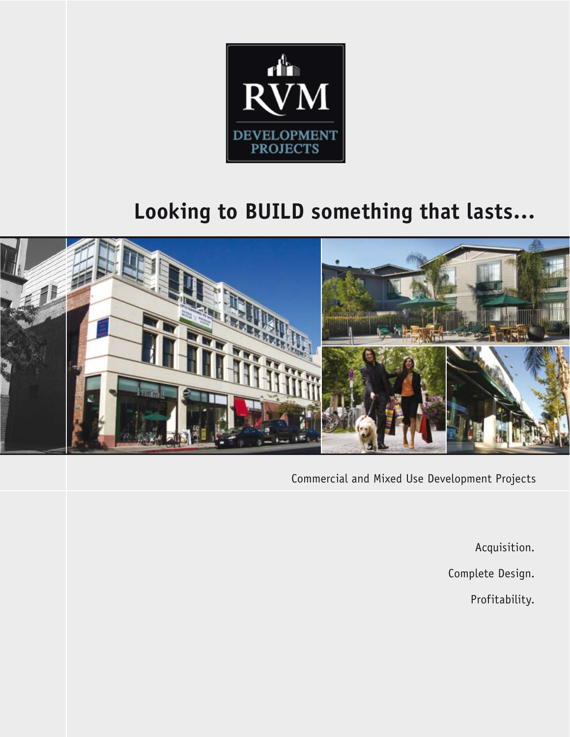

# **Looking to BUILD something that lasts…**



Commercial and Mixed Use Development Projects

Acquisition.

Complete Design.

Profitability.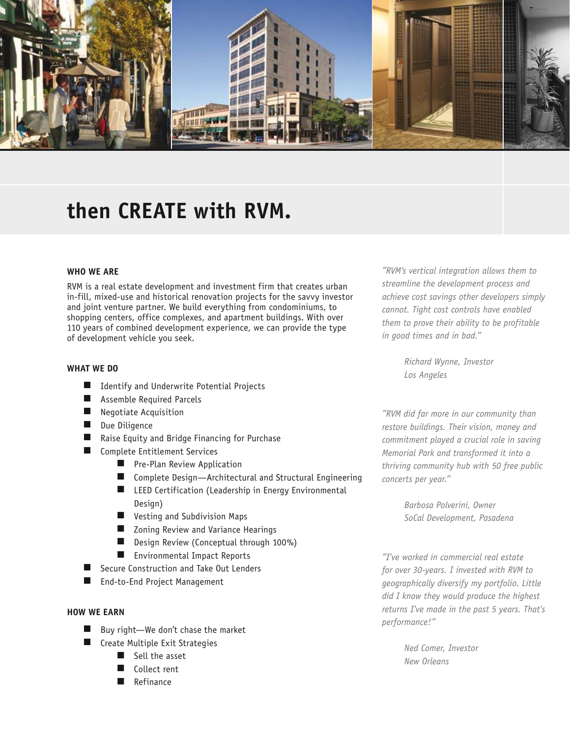

## **then CREATE with RVM.**

#### **WHO WE ARE**

RVM is a real estate development and investment firm that creates urban in-fill, mixed-use and historical renovation projects for the savvy investor and joint venture partner. We build everything from condominiums, to shopping centers, office complexes, and apartment buildings. With over 110 years of combined development experience, we can provide the type of development vehicle you seek.

#### **WHAT WE DO**

- $\blacksquare$  Identify and Underwrite Potential Projects
- **Assemble Required Parcels**
- $\blacksquare$  Negotiate Acquisition
- Due Diligence
- Raise Equity and Bridge Financing for Purchase
- $\blacksquare$  Complete Entitlement Services
	- $\blacksquare$  Pre-Plan Review Application
	- $\blacksquare$  Complete Design-Architectural and Structural Engineering
	- $\blacksquare$  LEED Certification (Leadership in Energy Environmental Desian)
	- **N** Vesting and Subdivision Maps
	- Zoning Review and Variance Hearings
	- Design Review (Conceptual through 100%)
	- **n** Environmental Impact Reports
- Secure Construction and Take Out Lenders
- End-to-End Project Management

#### **HOW WE EARN**

- $\blacksquare$  Buy right—We don't chase the market
- $\blacksquare$  Create Multiple Exit Strategies
	- $\blacksquare$  Sell the asset
	- Collect rent
	- Refinance

*"RVM's vertical integration allows them to streamline the development process and achieve cost savings other developers simply cannot. Tight cost controls have enabled them to prove their ability to be profitable in good times and in bad."*

> *Richard Wynne, Investor Los Angeles*

*"RVM did far more in our community than restore buildings. Their vision, money and commitment played a crucial role in saving Memorial Park and transformed it into a thriving community hub with 50 free public concerts per year."* 

> *Barbosa Polverini, Owner SoCal Development, Pasadena*

*"I've worked in commercial real estate for over 30-years. I invested with RVM to geographically diversify my portfolio. Little did I know they would produce the highest returns I've made in the past 5 years. That's performance!"* 

> *Ned Comer, Investor New Orleans*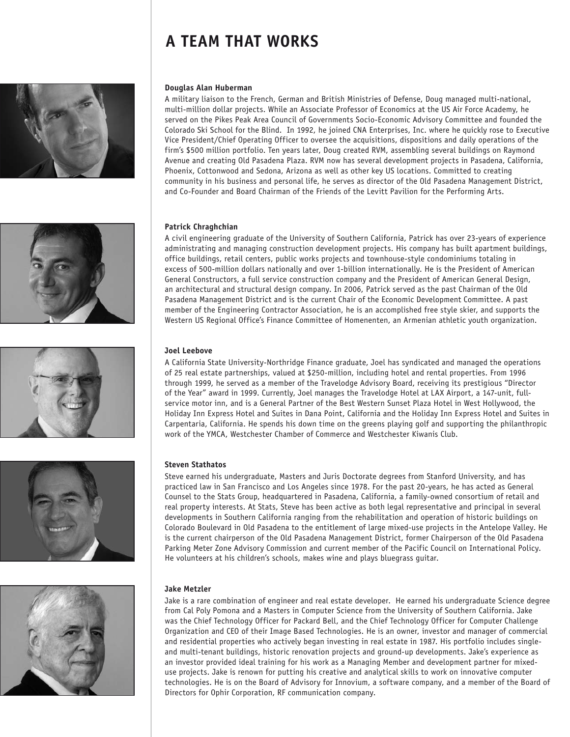## **A TEAM THAT WORKS**











#### **Douglas Alan Huberman**

A military liaison to the French, German and British Ministries of Defense, Doug managed multi-national, multi-million dollar projects. While an Associate Professor of Economics at the US Air Force Academy, he served on the Pikes Peak Area Council of Governments Socio-Economic Advisory Committee and founded the Colorado Ski School for the Blind. In 1992, he joined CNA Enterprises, Inc. where he quickly rose to Executive Vice President/Chief Operating Officer to oversee the acquisitions, dispositions and daily operations of the firm's \$500 million portfolio. Ten years later, Doug created RVM, assembling several buildings on Raymond Avenue and creating Old Pasadena Plaza. RVM now has several development projects in Pasadena, California, Phoenix, Cottonwood and Sedona, Arizona as well as other key US locations. Committed to creating community in his business and personal life, he serves as director of the Old Pasadena Management District, and Co-Founder and Board Chairman of the Friends of the Levitt Pavilion for the Performing Arts.

#### **Patrick Chraghchian**

A civil engineering graduate of the University of Southern California, Patrick has over 23-years of experience administrating and managing construction development projects. His company has built apartment buildings, office buildings, retail centers, public works projects and townhouse-style condominiums totaling in excess of 500-million dollars nationally and over 1-billion internationally. He is the President of American General Constructors, a full service construction company and the President of American General Design, an architectural and structural design company. In 2006, Patrick served as the past Chairman of the Old Pasadena Management District and is the current Chair of the Economic Development Committee. A past member of the Engineering Contractor Association, he is an accomplished free style skier, and supports the Western US Regional Office's Finance Committee of Homenenten, an Armenian athletic youth organization.

#### **Joel Leebove**

A California State University-Northridge Finance graduate, Joel has syndicated and managed the operations of 25 real estate partnerships, valued at \$250-million, including hotel and rental properties. From 1996 through 1999, he served as a member of the Travelodge Advisory Board, receiving its prestigious "Director of the Year" award in 1999. Currently, Joel manages the Travelodge Hotel at LAX Airport, a 147-unit, fullservice motor inn, and is a General Partner of the Best Western Sunset Plaza Hotel in West Hollywood, the Holiday Inn Express Hotel and Suites in Dana Point, California and the Holiday Inn Express Hotel and Suites in Carpentaria, California. He spends his down time on the greens playing golf and supporting the philanthropic work of the YMCA, Westchester Chamber of Commerce and Westchester Kiwanis Club.

#### **Steven Stathatos**

Steve earned his undergraduate, Masters and Juris Doctorate degrees from Stanford University, and has practiced law in San Francisco and Los Angeles since 1978. For the past 20-years, he has acted as General Counsel to the Stats Group, headquartered in Pasadena, California, a family-owned consortium of retail and real property interests. At Stats, Steve has been active as both legal representative and principal in several developments in Southern California ranging from the rehabilitation and operation of historic buildings on Colorado Boulevard in Old Pasadena to the entitlement of large mixed-use projects in the Antelope Valley. He is the current chairperson of the Old Pasadena Management District, former Chairperson of the Old Pasadena Parking Meter Zone Advisory Commission and current member of the Pacific Council on International Policy. He volunteers at his children's schools, makes wine and plays bluegrass guitar.

#### **Jake Metzler**

Jake is a rare combination of engineer and real estate developer. He earned his undergraduate Science degree from Cal Poly Pomona and a Masters in Computer Science from the University of Southern California. Jake was the Chief Technology Officer for Packard Bell, and the Chief Technology Officer for Computer Challenge Organization and CEO of their Image Based Technologies. He is an owner, investor and manager of commercial and residential properties who actively began investing in real estate in 1987. His portfolio includes singleand multi-tenant buildings, historic renovation projects and ground-up developments. Jake's experience as an investor provided ideal training for his work as a Managing Member and development partner for mixeduse projects. Jake is renown for putting his creative and analytical skills to work on innovative computer technologies. He is on the Board of Advisory for Innovium, a software company, and a member of the Board of Directors for Ophir Corporation, RF communication company.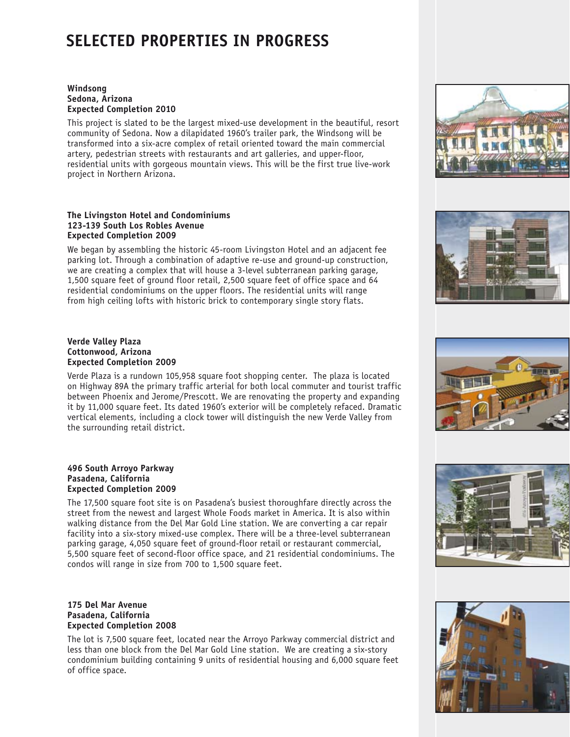### **Selected Properties in Progress**

#### **Windsong Sedona, Arizona Expected Completion 2010**

This project is slated to be the largest mixed-use development in the beautiful, resort community of Sedona. Now a dilapidated 1960's trailer park, the Windsong will be transformed into a six-acre complex of retail oriented toward the main commercial artery, pedestrian streets with restaurants and art galleries, and upper-floor, residential units with gorgeous mountain views. This will be the first true live-work project in Northern Arizona.

#### **The Livingston Hotel and Condominiums 123-139 South Los Robles Avenue Expected Completion 2009**

We began by assembling the historic 45-room Livingston Hotel and an adjacent fee parking lot. Through a combination of adaptive re-use and ground-up construction, we are creating a complex that will house a 3-level subterranean parking garage, 1,500 square feet of ground floor retail, 2,500 square feet of office space and 64 residential condominiums on the upper floors. The residential units will range from high ceiling lofts with historic brick to contemporary single story flats.

#### **Verde Valley Plaza Cottonwood, Arizona Expected Completion 2009**

Verde Plaza is a rundown 105,958 square foot shopping center. The plaza is located on Highway 89A the primary traffic arterial for both local commuter and tourist traffic between Phoenix and Jerome/Prescott. We are renovating the property and expanding it by 11,000 square feet. Its dated 1960's exterior will be completely refaced. Dramatic vertical elements, including a clock tower will distinguish the new Verde Valley from the surrounding retail district.

#### **496 South Arroyo Parkway Pasadena, California Expected Completion 2009**

The 17,500 square foot site is on Pasadena's busiest thoroughfare directly across the street from the newest and largest Whole Foods market in America. It is also within walking distance from the Del Mar Gold Line station. We are converting a car repair facility into a six-story mixed-use complex. There will be a three-level subterranean parking garage, 4,050 square feet of ground-floor retail or restaurant commercial, 5,500 square feet of second-floor office space, and 21 residential condominiums. The condos will range in size from 700 to 1,500 square feet.

#### **175 Del Mar Avenue Pasadena, California Expected Completion 2008**

The lot is 7,500 square feet, located near the Arroyo Parkway commercial district and less than one block from the Del Mar Gold Line station. We are creating a six-story condominium building containing 9 units of residential housing and 6,000 square feet of office space.









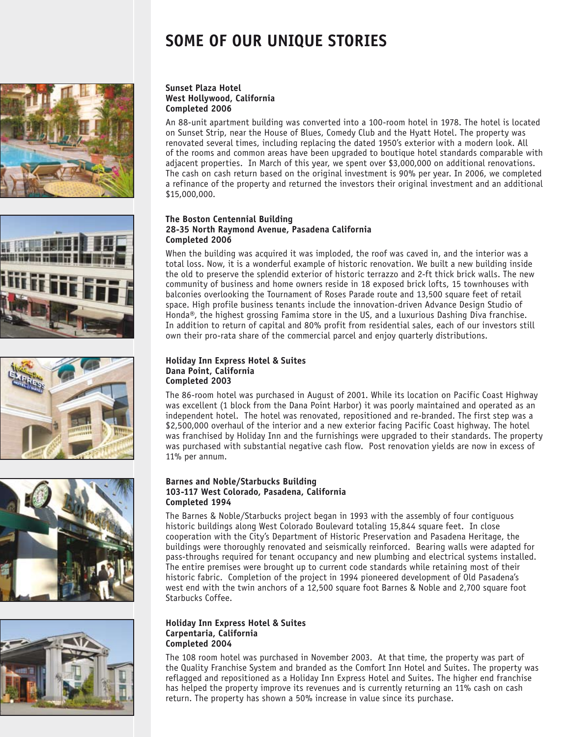## **some of our unique stories**











#### **Sunset Plaza Hotel West Hollywood, California Completed 2006**

An 88-unit apartment building was converted into a 100-room hotel in 1978. The hotel is located on Sunset Strip, near the House of Blues, Comedy Club and the Hyatt Hotel. The property was renovated several times, including replacing the dated 1950's exterior with a modern look. All of the rooms and common areas have been upgraded to boutique hotel standards comparable with adjacent properties. In March of this year, we spent over \$3,000,000 on additional renovations. The cash on cash return based on the original investment is 90% per year. In 2006, we completed a refinance of the property and returned the investors their original investment and an additional \$15,000,000.

#### **The Boston Centennial Building 28-35 North Raymond Avenue, Pasadena California Completed 2006**

When the building was acquired it was imploded, the roof was caved in, and the interior was a total loss. Now, it is a wonderful example of historic renovation. We built a new building inside the old to preserve the splendid exterior of historic terrazzo and 2-ft thick brick walls. The new community of business and home owners reside in 18 exposed brick lofts, 15 townhouses with balconies overlooking the Tournament of Roses Parade route and 13,500 square feet of retail space. High profile business tenants include the innovation-driven Advance Design Studio of Honda®, the highest grossing Famima store in the US, and a luxurious Dashing Diva franchise. In addition to return of capital and 80% profit from residential sales, each of our investors still own their pro-rata share of the commercial parcel and enjoy quarterly distributions.

#### **Holiday Inn Express Hotel & Suites Dana Point, California Completed 2003**

The 86-room hotel was purchased in August of 2001. While its location on Pacific Coast Highway was excellent (1 block from the Dana Point Harbor) it was poorly maintained and operated as an independent hotel. The hotel was renovated, repositioned and re-branded. The first step was a \$2,500,000 overhaul of the interior and a new exterior facing Pacific Coast highway. The hotel was franchised by Holiday Inn and the furnishings were upgraded to their standards. The property was purchased with substantial negative cash flow. Post renovation yields are now in excess of 11% per annum.

#### **Barnes and Noble/Starbucks Building 103-117 West Colorado, Pasadena, California Completed 1994**

The Barnes & Noble/Starbucks project began in 1993 with the assembly of four contiguous historic buildings along West Colorado Boulevard totaling 15,844 square feet. In close cooperation with the City's Department of Historic Preservation and Pasadena Heritage, the buildings were thoroughly renovated and seismically reinforced. Bearing walls were adapted for pass-throughs required for tenant occupancy and new plumbing and electrical systems installed. The entire premises were brought up to current code standards while retaining most of their historic fabric. Completion of the project in 1994 pioneered development of Old Pasadena's west end with the twin anchors of a 12,500 square foot Barnes & Noble and 2,700 square foot Starbucks Coffee.

#### **Holiday Inn Express Hotel & Suites Carpentaria, California Completed 2004**

The 108 room hotel was purchased in November 2003. At that time, the property was part of the Quality Franchise System and branded as the Comfort Inn Hotel and Suites. The property was reflagged and repositioned as a Holiday Inn Express Hotel and Suites. The higher end franchise has helped the property improve its revenues and is currently returning an 11% cash on cash return. The property has shown a 50% increase in value since its purchase.